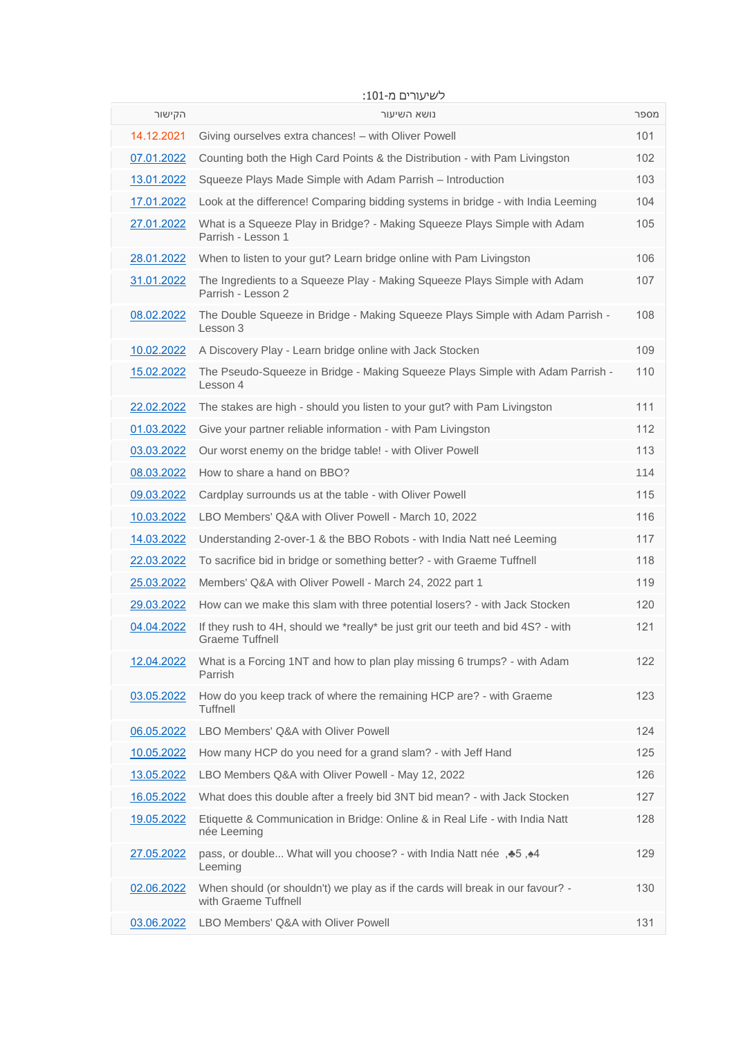| הקישור     | נושא השיעור                                                                                                | מספר |
|------------|------------------------------------------------------------------------------------------------------------|------|
| 14.12.2021 | Giving ourselves extra chances! – with Oliver Powell                                                       | 101  |
| 07.01.2022 | Counting both the High Card Points & the Distribution - with Pam Livingston                                | 102  |
| 13.01.2022 | Squeeze Plays Made Simple with Adam Parrish – Introduction                                                 | 103  |
| 17.01.2022 | Look at the difference! Comparing bidding systems in bridge - with India Leeming                           | 104  |
| 27.01.2022 | What is a Squeeze Play in Bridge? - Making Squeeze Plays Simple with Adam<br>Parrish - Lesson 1            | 105  |
| 28.01.2022 | When to listen to your gut? Learn bridge online with Pam Livingston                                        | 106  |
| 31.01.2022 | The Ingredients to a Squeeze Play - Making Squeeze Plays Simple with Adam<br>Parrish - Lesson 2            | 107  |
| 08.02.2022 | The Double Squeeze in Bridge - Making Squeeze Plays Simple with Adam Parrish -<br>Lesson 3                 | 108  |
| 10.02.2022 | A Discovery Play - Learn bridge online with Jack Stocken                                                   | 109  |
| 15.02.2022 | The Pseudo-Squeeze in Bridge - Making Squeeze Plays Simple with Adam Parrish -<br>Lesson 4                 | 110  |
| 22.02.2022 | The stakes are high - should you listen to your gut? with Pam Livingston                                   | 111  |
| 01.03.2022 | Give your partner reliable information - with Pam Livingston                                               | 112  |
| 03.03.2022 | Our worst enemy on the bridge table! - with Oliver Powell                                                  | 113  |
| 08.03.2022 | How to share a hand on BBO?                                                                                | 114  |
| 09.03.2022 | Cardplay surrounds us at the table - with Oliver Powell                                                    | 115  |
| 10.03.2022 | LBO Members' Q&A with Oliver Powell - March 10, 2022                                                       | 116  |
| 14.03.2022 | Understanding 2-over-1 & the BBO Robots - with India Natt neé Leeming                                      | 117  |
| 22.03.2022 | To sacrifice bid in bridge or something better? - with Graeme Tuffnell                                     | 118  |
| 25.03.2022 | Members' Q&A with Oliver Powell - March 24, 2022 part 1                                                    | 119  |
| 29.03.2022 | How can we make this slam with three potential losers? - with Jack Stocken                                 | 120  |
| 04.04.2022 | If they rush to 4H, should we *really* be just grit our teeth and bid 4S? - with<br><b>Graeme Tuffnell</b> | 121  |
| 12.04.2022 | What is a Forcing 1NT and how to plan play missing 6 trumps? - with Adam<br>Parrish                        | 122  |
| 03.05.2022 | How do you keep track of where the remaining HCP are? - with Graeme<br>Tuffnell                            | 123  |
| 06.05.2022 | LBO Members' Q&A with Oliver Powell                                                                        | 124  |
| 10.05.2022 | How many HCP do you need for a grand slam? - with Jeff Hand                                                | 125  |
| 13.05.2022 | LBO Members Q&A with Oliver Powell - May 12, 2022                                                          | 126  |
| 16.05.2022 | What does this double after a freely bid 3NT bid mean? - with Jack Stocken                                 | 127  |
| 19.05.2022 | Etiquette & Communication in Bridge: Online & in Real Life - with India Natt<br>née Leeming                | 128  |
| 27.05.2022 | pass, or double What will you choose? - with India Natt née , +5, +4<br>Leeming                            | 129  |
| 02.06.2022 | When should (or shouldn't) we play as if the cards will break in our favour? -<br>with Graeme Tuffnell     | 130  |
| 03.06.2022 | LBO Members' Q&A with Oliver Powell                                                                        | 131  |

## לשיעורים מ:101-